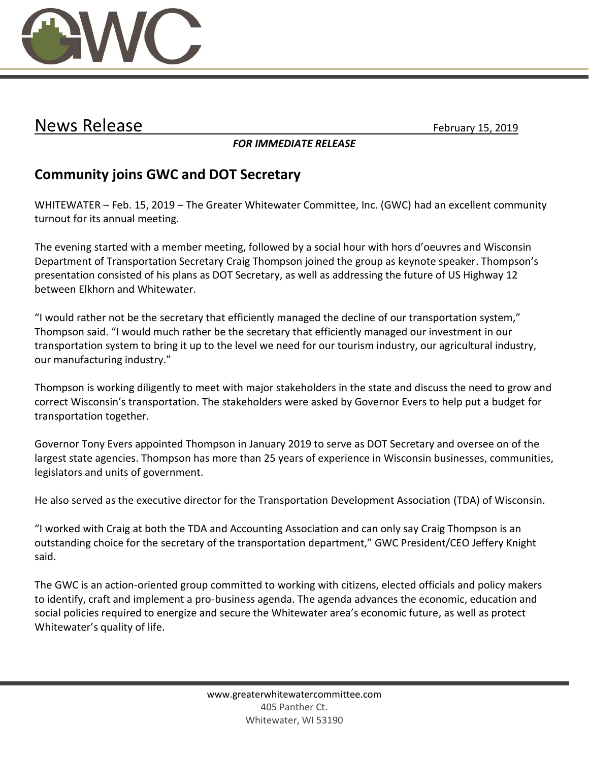

## News Release February 15, 2019

*FOR IMMEDIATE RELEASE*

## **Community joins GWC and DOT Secretary**

WHITEWATER – Feb. 15, 2019 – The Greater Whitewater Committee, Inc. (GWC) had an excellent community turnout for its annual meeting.

The evening started with a member meeting, followed by a social hour with hors d'oeuvres and Wisconsin Department of Transportation Secretary Craig Thompson joined the group as keynote speaker. Thompson's presentation consisted of his plans as DOT Secretary, as well as addressing the future of US Highway 12 between Elkhorn and Whitewater.

"I would rather not be the secretary that efficiently managed the decline of our transportation system," Thompson said. "I would much rather be the secretary that efficiently managed our investment in our transportation system to bring it up to the level we need for our tourism industry, our agricultural industry, our manufacturing industry."

Thompson is working diligently to meet with major stakeholders in the state and discuss the need to grow and correct Wisconsin's transportation. The stakeholders were asked by Governor Evers to help put a budget for transportation together.

Governor Tony Evers appointed Thompson in January 2019 to serve as DOT Secretary and oversee on of the largest state agencies. Thompson has more than 25 years of experience in Wisconsin businesses, communities, legislators and units of government.

He also served as the executive director for the Transportation Development Association (TDA) of Wisconsin.

"I worked with Craig at both the TDA and Accounting Association and can only say Craig Thompson is an outstanding choice for the secretary of the transportation department," GWC President/CEO Jeffery Knight said.

The GWC is an action-oriented group committed to working with citizens, elected officials and policy makers to identify, craft and implement a pro-business agenda. The agenda advances the economic, education and social policies required to energize and secure the Whitewater area's economic future, as well as protect Whitewater's quality of life.